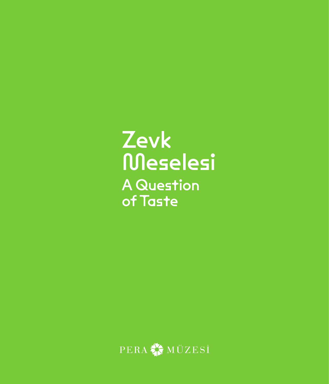# **Zevk** Meselesi A Question of Taste

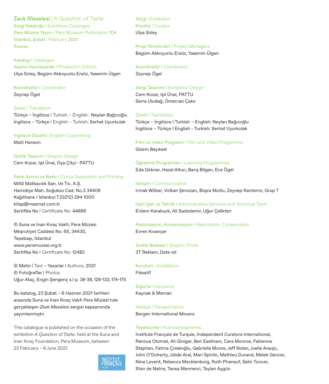### **Zevk Meselesi** | A Question of Taste

Sergi Kataloğu I Exhibition Catalogue Pera Müzesi Yayını I Pera Museum Publication 104 İstanbul, Şubat I February 2021 **Xxxxxx** 

Katalog I Catalogue Yayına Hazırlayanlar I Production Editors Ulya Soley, Begüm Akkoyunlu Ersöz, Yasemin Ülgen

Koordinatör I Coordinator Zeynep Ögel

Çeviri I Translation Türkçe – İngilizce I Turkish – English: Neylan Bağcıoğlu İngilizce – Türkçe I English – Turkish: Serhat Uyurkulak

İngilizce Düzelti I English Copyediting Matt Hanson

Grafik Tasarım I Graphic Design Cem Kozar, Işıl Ünal, Oya Çitçi– PATTU

### Renk Ayrımı ve Baskı I Colour Separation and Printing

MAS Matbacılık San. Ve Tic. A.Ş. Hamidiye Mah. Soğuksu Cad. No.3 34408 Kağıthane / İstanbul T.(0212) 294 1000 kitap@masmat.com.tr Sertifika No I Certificate No: 44686

© Suna ve İnan Kıraç Vakfı, Pera Müzesi Meşrutiyet Caddesi No: 65, 34430, Tepebaşı, İstanbul www.peramuzesi.org.tr Sertifika No I Certificate No: 12482

© Metin | Text – Yazarlar I Authors, 2021 © Fotoğraflar | Photos Uğur Ataç, Engin Şengenç s.I p. 38-39, 128-133, 174-175

Bu katalog, 23 Şubat – 6 Haziran 2021 tarihleri arasında Suna ve İnan Kıraç Vakfı Pera Müzesi'nde gerçekleşen *Zevk Meselesi* sergisi kapsamında yayımlanmıştır.

This catalogue is published on the occasion of the exhibition *A Question of Taste*, held at the Suna and İnan Kıraç Foundation, Pera Museum, between 23 February – 6 June 2021.



Sergi I Exhibition Küratör I Curator Ulya Soley

Proje Yöneticileri I Project Managers Begüm Akkoyunlu Ersöz, Yasemin Ülgen

Koordinatör I Coordinator Zeynep Ögel

Sergi Tasarımı I Exhibition Design Cem Kozar, Işıl Ünal, PATTU Serra Uludağ, Ömercan Çakır

Çeviri I Translation Türkçe – İngilizce I Turkish – English: Neylan Bağcıoğlu İngilizce – Türkçe I English - Turkish: Serhat Uyurkulak

Film ve Video Programı I Film and Video Programme Gizem Bayıksel

Öğrenme Programları I Learning Programmes Eda Göknar, Hazal Altun, Barış Bilgen, Ece Ögel

İletişim I Communication Irmak Wöber, Volkan Şenozan, Büşra Mutlu, Zeynep Kantemir, Grup 7

İdari İşler ve Teknik I Administrative Services and Technical Team Erdem Karabıyık, Ali Sadedemir, Uğur Çelikten

Restorasyon, Konservasyon I Restoration, Conservation Evren Kıvançer

Grafik Baskılar I Graphic Prints 3T Reklam, Date-ist

Kurulum I Installation Fiksatif

Sigorta I Insurance Kaynak & Mercan

### Nakliye I Transportation

Bergen International Movers

#### Teşekkürler I Acknowledgments

Institute Français de Turquie, Independent Curators International, Renova Otomat, Ali Giniger, Ben Eastham, Cara Monroe, Fabienne Stephan, Fatma Çolakoğlu, Gabriella Moore, Jeff Nolan, Joelle Araujo, John O'Doherty, Jülide Aral, Mari Spirito, Mathieu Durand, Melek Gencer, Nina Levent, Rebecca Mecklenborg, Ruth Phaneuf, Selin Tuncer, Stan de Natris, Tansa Mermerci, Taylan Aygün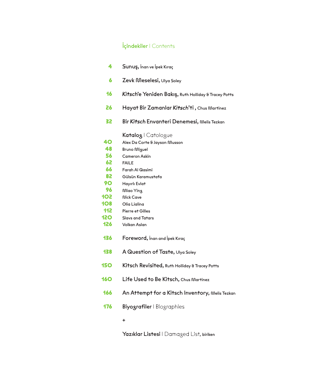### İçindekiler I Contents

- Sunuş, İnan ve İpek Kıraç **4**
- Zevk Meselesi, Ulya Soley **6**
- Kitsch'e Yeniden Bakış, Ruth Holliday & Tracey Potts **16**
- Hayat Bir Zamanlar Kitsch'ti, Chus Martinez **26**
- Bir Kitsch Envanteri Denemesi, Melis Tezkan **32**

### Katalog | Catologue

- Alex Da Corte & Jayson Musson **40**
- Bruno Miguel **48**
- Cameron Askin **56**
- FAILE **62**
- Farah Al Qasimi **66**
- Gülsün Karamustafa **82**
- Hayırlı Evlat **90**
- Miao Ying **96**
- Nick Cave **102**
- Olia Lialina **108**
- Pierre et Gilles **112**
- Slavs and Tatars **120**
- Volkan Aslan **126**
- Foreword, İnan and İpek Kıraç **136**
- A Question of Taste, Ulya Soley **138**
- Kitsch Revisited, Ruth Holliday & Tracey Potts **150**
- Life Used to Be Kitsch, Chus Martinez **160**
- An Attempt for a Kitsch Inventory, Melis Tezkan **166**
- Biyografiler I Biographies **176**
	- +

Yazıklar Listesi | Damaged List, biriken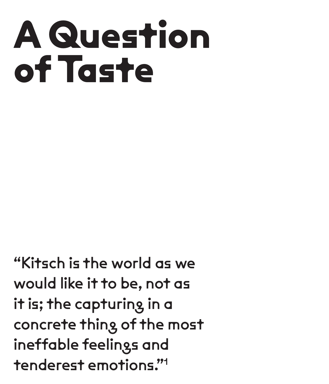# **A Question of Taste**

"Kitsch is the world as we would like it to be, not as it is; the capturing in a concrete thing of the most ineffable feelings and tenderest emotions."1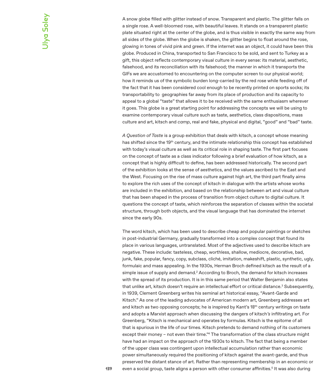A snow globe filled with glitter instead of snow. Transparent and plastic. The glitter falls on a single rose. A well-bloomed rose, with beautiful leaves. It stands on a transparent plastic plate situated right at the center of the globe, and is thus visible in exactly the same way from all sides of the globe. When the globe is shaken, the glitter begins to float around the rose, glowing in tones of vivid pink and green. If the internet was an object, it could have been this globe. Produced in China, transported to San Francisco to be sold, and sent to Turkey as a gift, this object reflects contemporary visual culture in every sense: its material, aesthetic, falsehood, and its reconciliation with its falsehood; the manner in which it transports the GIFs we are accustomed to encountering on the computer screen to our physical world; how it reminds us of the symbolic burden long-carried by the red rose while feeding off of the fact that it has been considered cool enough to be recently printed on sports socks; its transportability to geographies far away from its place of production and its capacity to appeal to a global "taste" that allows it to be received with the same enthusiasm wherever it goes. This globe is a great starting point for addressing the concepts we will be using to examine contemporary visual culture such as taste, aesthetics, class dispositions, mass culture and art, kitsch and *camp*, real and fake, physical and digital, "good" and "bad" taste.

*A Question of Taste* is a group exhibition that deals with kitsch, a concept whose meaning has shifted since the 19<sup>th</sup> century, and the intimate relationship this concept has established with today's visual culture as well as its critical role in shaping taste. The first part focuses on the concept of taste as a class indicator following a brief evaluation of how kitsch, as a concept that is highly difficult to define, has been addressed historically. The second part of the exhibition looks at the sense of aesthetics, and the values ascribed to the East and the West. Focusing on the rise of mass culture against high art, the third part finally aims to explore the rich uses of the concept of kitsch in dialogue with the artists whose works are included in the exhibition, and based on the relationship between art and visual culture that has been shaped in the process of transition from object culture to digital culture. It questions the concept of taste, which reinforces the separation of classes within the societal structure, through both objects, and the visual language that has dominated the internet since the early 90s.

The word kitsch, which has been used to describe cheap and popular paintings or sketches in post-industrial Germany, gradually transformed into a complex concept that found its place in various languages, untranslated. Most of the adjectives used to describe kitsch are negative. These include: tasteless, cheap, worthless, shallow, mediocre, decorative, bad, junk, fake, popular, fancy, copy, subclass, cliché, imitation, makeshift, plastic, synthetic, ugly, formulaic and mass appealing. In the 1930s, Herman Broch defined kitsch as the result of a simple issue of supply and demand. $2$  According to Broch, the demand for kitsch increases with the spread of its production. It is in this same period that Walter Benjamin also states that unlike art, kitsch doesn't require an intellectual effort or critical distance.<sup>3</sup> Subsequently, in 1939, Clement Greenberg writes his seminal art historical essay, "Avant-Garde and Kitsch." As one of the leading advocates of American modern art, Greenberg addresses art and kitsch as two opposing concepts; he is inspired by Kant's 18th century writings on taste and adopts a Marxist approach when discussing the dangers of kitsch*'s* infiltrating art. For Greenberg, "Kitsch is mechanical and operates by formulas. Kitsch is the epitome of all that is spurious in the life of our times. Kitsch pretends to demand nothing of its customers except their money – not even their time."4 The transformation of the class structure might have had an impact on the approach of the 1930s to kitsch. The fact that being a member of the upper class was contingent upon intellectual accumulation rather than economic power simultaneously required the positioning of kitsch against the avant-garde, and thus preserved the distant stance of art. Rather than representing membership in an economic or even a social group, taste aligns a person with other consumer affinities.<sup>5</sup> It was also during

139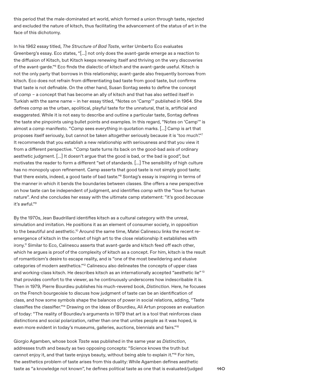this period that the male-dominated art world, which formed a union through taste, rejected and excluded the nature of kitsch, thus facilitating the advancement of the status of art in the face of this dichotomy.

In his 1962 essay titled, *The Structure of Bad Taste*, writer Umberto Eco evaluates Greenberg's essay. Eco states, "[…] not only does the avant-garde emerge as a reaction to the diffusion of Kitsch, but Kitsch keeps renewing itself and thriving on the very discoveries of the avant-garde."6 Eco finds the dialectic of kitsch and the avant-garde useful. Kitsch is not the only party that borrows in this relationship; avant-garde also frequently borrows from kitsch. Eco does not refrain from differentiating bad taste from good taste, but confirms that taste is not definable. On the other hand, Susan Sontag seeks to define the concept of *camp –* a concept that has become an ally of kitsch and that has also settled itself in Turkish with the same name – in her essay titled, "Notes on 'Camp'" published in 1964. She defines *camp* as the urban, apolitical, playful taste for the unnatural, that is, artificial and exaggerated. While it is not easy to describe and outline a particular taste, Sontag defines the taste she pinpoints using bullet points and examples. In this regard, "Notes on 'Camp'" is almost a *camp* manifesto. "*Camp* sees everything in quotation marks. [...] Camp is art that proposes itself seriously, but cannot be taken altogether seriously because it is 'too much'."7 It recommends that you establish a new relationship with seriousness and that you view it from a different perspective. "*Camp* taste turns its back on the good-bad axis of ordinary aesthetic judgment. […] It doesn't argue that the good is bad, or the bad is good", but motivates the reader to form a different "set of standards. [...] The sensibility of high culture has no monopoly upon refinement. Camp asserts that good taste is not simply good taste; that there exists, indeed, a good taste of bad taste."8 Sontag's essay is inspiring in terms of the manner in which it bends the boundaries between classes. She offers a new perspective on how taste can be independent of judgment, and identifies *camp* with the "love for human nature". And she concludes her essay with the ultimate camp statement: "it's good *because*  it's awful."9

By the 1970s, Jean Baudrillard identifies kitsch as a cultural category with the unreal, simulation and imitation. He positions it as an element of consumer society, in opposition to the beautiful and aesthetic.<sup>10</sup> Around the same time, Matei Calinescu links the recent reemergence of kitsch in the context of high art to the close relationship it establishes with irony.<sup>11</sup> Similar to Eco, Calinescu asserts that avant-garde and kitsch feed off each other, which he argues is proof of the complexity of kitsch as a concept. For him, kitsch is the result of romanticism's desire to escape reality, and is "one of the most bewildering and elusive categories of modern aesthetics."12 Calinescu also delineates the concepts of upper class and working-class kitsch. He describes kitsch as an internationally accepted "aesthetic lie" 13 that provides comfort to the viewer, as he continuously underscores how indescribable it is. Then in 1979, Pierre Bourdieu publishes his much-revered book, *Distinction*. Here, he focuses on the French bourgeoisie to discuss how judgment of taste can be an identification of class, and how some symbols shape the balances of power in social relations, adding, "Taste classifies the classifier."14 Drawing on the ideas of Bourdieu, Ali Artun proposes an evaluation of today: "The reality of Bourdieu's arguments in 1979 that art is a tool that reinforces class distinctions and social polarization, rather than one that unites people as it was hoped, is even more evident in today's museums, galleries, auctions, biennials and fairs."15

Giorgio Agamben, whose book *Taste* was published in the same year as *Distinction*, addresses truth and beauty as two opposing concepts: "Science knows the truth but cannot enjoy it, and that taste enjoys beauty, without being able to explain it."<sup>16</sup> For him, the aesthetics problem of taste arises from this duality: While Agamben defines aesthetic taste as "a knowledge not known", he defines political taste as one that is evaluated/judged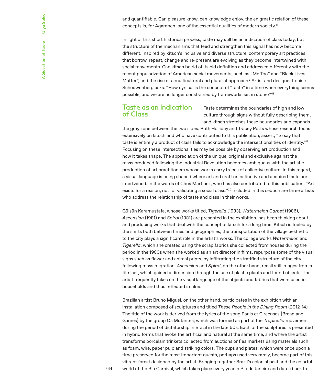and quantifiable. Can pleasure know, can knowledge enjoy, the enigmatic relation of these concepts is, for Agamben, one of the essential qualities of modern society.17

In light of this short historical process, taste may still be an indication of class today, but the structure of the mechanisms that feed and strengthen this signal has now become different. Inspired by kitsch's inclusive and diverse structure, contemporary art practices that borrow, repeat, change and re-present are evolving as they become intertwined with social movements. Can kitsch be rid of its old definition and addressed differently with the recent popularization of American social movements, such as "Me Too" and "Black Lives Matter", and the rise of a multicultural and pluralist approach? Artist and designer Louise Schouwenberg asks: "How cynical is the concept of "taste" in a time when everything seems possible, and we are no longer constrained by frameworks set in stone?"18

### Taste as an Indication of Class

Taste determines the boundaries of high and low culture through signs without fully describing them, and kitsch stretches these boundaries and expands

the gray zone between the two sides. Ruth Holliday and Tracey Potts whose research focus extensively on kitsch and who have contributed to this publication, assert, "to say that taste is entirely a product of class fails to acknowledge the intersectionalities of identity."19 Focusing on these intersectionalities may be possible by observing art production and how it takes shape. The appreciation of the unique, original and exclusive against the mass produced following the Industrial Revolution becomes ambiguous with the artistic production of art practitioners whose works carry traces of collective culture. In this regard, a visual language is being shaped where art and craft or instinctive and acquired taste are intertwined. In the words of Chus Martinez, who has also contributed to this publication, "Art exists for a reason, not for validating a social class."<sup>20</sup> Included in this section are three artists who address the relationship of taste and class in their works.

Gülsün Karamustafa, whose works titled, *Tigerella* (1983), *Watermelon Carpet* (1986)*, Ascension* (1981) and *Spiral* (1981) are presented in the exhibition, has been thinking about and producing works that deal with the concept of kitsch for a long time. Kitsch is fueled by the shifts both between times and geographies; the transportation of the village aesthetic to the city plays a significant role in the artist's works. The collage works *Watermelon* and *Tigerella*, which she created using the scrap fabrics she collected from houses during the period in the 1980s when she worked as an art director in films, repurpose some of the visual signs such as flower and animal prints, by infiltrating the stratified structure of the city following mass migration. *Ascension* and *Spiral*, on the other hand, recall still images from a film set, which gained a dimension through the use of plastic plants and found objects. The artist frequently takes on the visual language of the objects and fabrics that were used in households and thus reflected in films.

Brazilian artist Bruno Miguel, on the other hand, participates in the exhibition with an installation composed of sculptures and titled *These People in the Dining Room* (2012-14)*.*  The title of the work is derived from the lyrics of the song Panis et Circenses [Bread and Games] by the group Os Mutantes, which was formed as part of the *Tropicalia* movement during the period of dictatorship in Brazil in the late 60s. Each of the sculptures is presented in hybrid forms that evoke the artificial and natural at the same time, and where the artist transforms porcelain trinkets collected from auctions or flea markets using materials such as foam, wire, paper pulp and striking colors. The cups and plates, which were once upon a time preserved for the most important guests, perhaps used very rarely, become part of this vibrant forest designed by the artist. Bringing together Brazil's colonial past and the colorful world of the Rio Carnival, which takes place every year in Rio de Janeiro and dates back to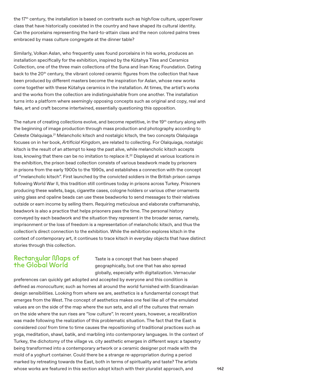the 17th century, the installation is based on contrasts such as high/low culture, upper/lower class that have historically coexisted in the country and have shaped its cultural identity. Can the porcelains representing the hard-to-attain class and the neon colored palms trees embraced by mass culture congregate at the dinner table?

Similarly, Volkan Aslan, who frequently uses found porcelains in his works, produces an installation specifically for the exhibition, inspired by the Kütahya Tiles and Ceramics Collection, one of the three main collections of the Suna and İnan Kıraç Foundation. Dating back to the 20<sup>th</sup> century, the vibrant colored ceramic figures from the collection that have been produced by different masters become the inspiration for Aslan, whose new works come together with these Kütahya ceramics in the installation. At times, the artist's works and the works from the collection are indistinguishable from one another. The installation turns into a platform where seemingly opposing concepts such as original and copy, real and fake, art and craft become intertwined, essentially questioning this opposition.

The nature of creating collections evolve, and become repetitive, in the 19<sup>th</sup> century along with the beginning of image production through mass production and photography according to Celeste Olalquiaga.21 Melancholic kitsch and nostalgic kitsch*,* the two concepts Olalquiaga focuses on in her book, *Artificial Kingdom*, are related to collecting. For Olalquiaga, nostalgic kitsch is the result of an attempt to keep the past alive, while melancholic kitsch accepts loss, knowing that there can be no imitation to replace it.<sup>22</sup> Displayed at various locations in the exhibition, the prison bead collection consists of various beadwork made by prisoners in prisons from the early 1900s to the 1990s, and establishes a connection with the concept of "melancholic kitsch". First launched by the convicted soldiers in the British prison camps following World War II, this tradition still continues today in prisons across Turkey. Prisoners producing these wallets, bags, cigarette cases, cologne holders or various other ornaments using glass and opaline beads can use these beadworks to send messages to their relatives outside or earn income by selling them. Requiring meticulous and elaborate craftsmanship, beadwork is also a practice that helps prisoners pass the time. The personal history conveyed by each beadwork and the situation they represent in the broader sense, namely, imprisonment or the loss of freedom is a representation of melancholic kitsch, and thus the collection's direct connection to the exhibition. While the exhibition explores kitsch in the context of contemporary art, it continues to trace kitsch in everyday objects that have distinct stories through this collection.

## Rectangular Maps of the Global World

Taste is a concept that has been shaped geographically, but one that has also spread globally, especially with digitalization. Vernacular

preferences can quickly get adopted and accepted by everyone and this condition is defined as *monoculture*; such as homes all around the world furnished with Scandinavian design sensibilities. Looking from where we are, aesthetics is a fundamental concept that emerges from the West. The concept of aesthetics makes one feel like all of the emulated values are on the side of the map where the sun sets, and all of the cultures that remain on the side where the sun rises are "low culture". In recent years, however, a recalibration was made following the realization of this problematic situation. The fact that the East is considered *cool* from time to time causes the repositioning of traditional practices such as yoga, meditation, shawl, batik, and marbling into contemporary languages. In the context of Turkey, the dichotomy of the village vs. city aesthetic emerges in different ways: a tapestry being transformed into a contemporary artwork or a ceramic designer pot made with the mold of a yoghurt container. Could there be a strange re-appropriation during a period marked by retreating towards the East, both in terms of spirituality and taste? The artists whose works are featured in this section adopt kitsch with their pluralist approach, and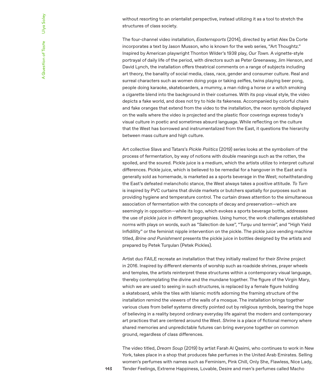without resorting to an orientalist perspective, instead utilizing it as a tool to stretch the structures of class society.

The four-channel video installation, *Easternsports* (2014), directed by artist Alex Da Corte incorporates a text by Jason Musson, who is known for the web series, "Art Thoughtz." Inspired by American playwright Thonton Wilder's 1938 play, *Our Town.* A vignette-style portrayal of daily life of the period, with directors such as Peter Greenaway, Jim Henson, and David Lynch, the installation offers theatrical comments on a range of subjects including art theory, the banality of social media, class, race, gender and consumer culture. Real and surreal characters such as women doing yoga or taking *selfie*s, twins playing beer pong, people doing karaoke, skateboarders, a mummy, a man riding a horse or a witch smoking a cigarette blend into the background in their costumes. With its pop visual style, the video depicts a fake world, and does not try to hide its fakeness. Accompanied by colorful chairs and fake oranges that extend from the video to the installation, the neon symbols displayed on the walls where the video is projected and the plastic floor coverings express today's visual culture in poetic and sometimes absurd language. While reflecting on the culture that the West has borrowed and instrumentalized from the East, it questions the hierarchy between mass culture and high culture.

Art collective Slavs and Tatars's *Pickle Politics* (2019) series looks at the symbolism of the process of fermentation, by way of notions with double meanings such as the rotten, the spoiled, and the soured. Pickle juice is a medium, which the artists utilize to interpret cultural differences. Pickle juice, which is believed to be remedial for a hangover in the East and is generally sold as homemade, is marketed as a sports beverage in the West; notwithstanding the East's defeated melancholic stance, the West always takes a positive attitude. *To Turn* is inspired by PVC curtains that divide markets or butchers spatially for purposes such as providing hygiene and temperature control. The curtain draws attention to the simultaneous association of fermentation with the concepts of decay and preservation—which are seemingly in opposition—while its logo, which evokes a sports beverage bottle, addresses the use of pickle juice in different geographies. Using humor, the work challenges established norms with plays on words, such as "Salection de luxe", "Turşu und termie", and "High Yield Infidillity" or the feminist nipple intervention on the pickle. The pickle juice vending machine titled, *Brine and Punishment* presents the pickle juice in bottles designed by the artists and prepared by Petek Turşuları (Petek Pickles).

Artist duo FAILE recreate an installation that they initially realized for their *Shrine* project in 2016. Inspired by different elements of worship such as roadside shrines, prayer wheels and temples, the artists reinterpret these structures within a contemporary visual language, thereby contemplating the divine and the mundane together. The figure of the Virgin Mary, which we are used to seeing in such structures, is replaced by a female figure holding a skateboard, while the tiles with Islamic motifs adorning the framing structure of the installation remind the viewers of the walls of a mosque. The installation brings together various clues from belief systems directly pointed out by religious symbols, bearing the hope of believing in a reality beyond ordinary everyday life against the modern and contemporary art practices that are centered around the West. *Shrine* is a place of fictional memory where shared memories and unpredictable futures can bring everyone together on common ground, regardless of class differences.

The video titled, *Dream Soup* (2019) by artist Farah Al Qasimi, who continues to work in New York, takes place in a shop that produces fake perfumes in the United Arab Emirates. Selling women's perfumes with names such as Feminism, Pink Chill, Only She, Flawless, Nice Lady, Tender Feelings, Extreme Happiness, Lovable, Desire and men's perfumes called Macho

143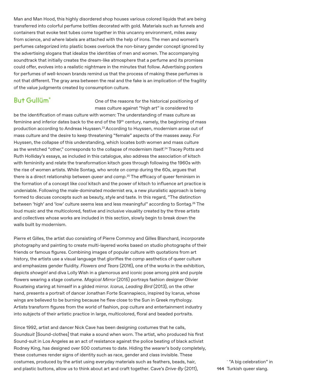Man and Man Hood, this highly disordered shop houses various colored liquids that are being transferred into colorful perfume bottles decorated with gold. Materials such as funnels and containers that evoke test tubes come together in this uncanny environment, miles away from science, and where labels are attached with the help of irons. The men and women's perfumes categorized into plastic boxes overlook the non-binary gender concept ignored by the advertising slogans that idealize the identities of men and women. The accompanying soundtrack that initially creates the dream-like atmosphere that a perfume and its promises could offer, evolves into a realistic nightmare in the minutes that follow. Advertising posters for perfumes of well-known brands remind us that the process of making these perfumes is not that different. The gray area between the real and the fake is an implication of the fragility of the value judgments created by consumption culture.

# But Gullüm\*

One of the reasons for the historical positioning of mass culture against "high art" is considered to

be the identification of mass culture with women: The understanding of mass culture as feminine and inferior dates back to the end of the 19<sup>th</sup> century, namely, the beginning of mass production according to Andreas Huyssen.23 According to Huyssen, modernism arose out of mass culture and the desire to keep threatening "female" aspects of the masses away. For Huyssen, the collapse of this understanding, which locates both women and mass culture as the wretched "other," corresponds to the collapse of modernism itself.<sup>24</sup> Tracey Potts and Ruth Holliday's essays, as included in this catalogue, also address the association of kitsch with femininity and relate the transformation kitsch goes through following the 1960s with the rise of women artists. While Sontag, who wrote on *camp* during the 60s, argues that there is a direct relationship between *queer* and  $\emph{camp.}^{\rm 25}$  The efficacy of queer feminism in the formation of a concept like *cool* kitsch and the power of kitsch to influence art practice is undeniable. Following the male-dominated modernist era, a new pluralistic approach is being formed to discuss concepts such as beauty, style and taste. In this regard, "The distinction between 'high' and 'low' culture seems less and less meaningful" according to Sontag.<sup>26</sup> The loud music and the multicolored, festive and inclusive visuality created by the three artists and collectives whose works are included in this section, slowly begin to break down the walls built by modernism.

Pierre et Gilles, the artist duo consisting of Pierre Commoy and Gilles Blanchard, incorporate photography and painting to create multi-layered works based on studio photographs of their friends or famous figures. Combining images of popular culture with quotations from art history, the artists use a visual language that glorifies the *camp* aesthetics of queer culture and emphasizes gender fluidity. *Flowers and Tears* (2016), one of the works in the exhibition, depicts *showgirl* and diva Lolly Wish in a glamorous and iconic pose among pink and purple flowers wearing a stage costume. *Magical Mirror* (2015) portrays fashion designer Olivier Rousteing staring at himself in a gilded mirror. *Icarus, Leading Bird* (2013), on the other hand, presents a portrait of dancer Jonathan Forte Scannapieco, inspired by Icarus, whose wings are believed to be burning because he flew close to the Sun in Greek mythology. Artists transform figures from the world of fashion, pop culture and entertainment industry into subjects of their artistic practice in large, multicolored, floral and beaded portraits.

Since 1992, artist and dancer Nick Cave has been designing costumes that he calls, *Soundsuit* [Sound-clothes] that make a sound when worn. The artist, who produced his first Sound-suit in Los Angeles as an act of resistance against the police beating of black activist Rodney King, has designed over 500 costumes to date. Hiding the wearer's body completely, these costumes render signs of identity such as race, gender and class invisible. These costumes, produced by the artist using everyday materials such as feathers, beads, hair, and plastic buttons, allow us to think about art and craft together. Cave's *Drive-By* (2011),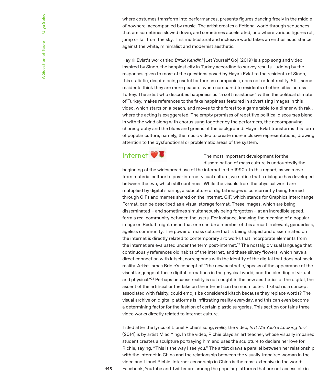where costumes transform into performances, presents figures dancing freely in the middle of nowhere, accompanied by music. The artist creates a fictional world through sequences that are sometimes slowed down, and sometimes accelerated, and where various figures roll, jump or fall from the sky. This multicultural and inclusive world takes an enthusiastic stance against the white, minimalist and modernist aesthetic.

Hayırlı Evlat's work titled *Bırak Kendini* [Let Yourself Go] (2019) is a pop song and video inspired by Sinop, the happiest city in Turkey according to survey results. Judging by the responses given to most of the questions posed by Hayırlı Evlat to the residents of Sinop, this statistic, despite being useful for tourism companies, does not reflect reality. Still, some residents think they are more peaceful when compared to residents of other cities across Turkey. The artist who describes happiness as "a soft resistance" within the political climate of Turkey, makes references to the fake happiness featured in advertising images in this video, which starts on a beach, and moves to the forest to a game table to a dinner with rakı, where the acting is exaggerated. The empty promises of repetitive political discourses blend in with the wind along with chorus sung together by the performers, the accompanying choreography and the blues and greens of the background. Hayırlı Evlat transforms this form of popular culture, namely, the music video to create more inclusive representations, drawing attention to the dysfunctional or problematic areas of the system.

# Internet **W**

The most important development for the dissemination of mass culture is undoubtedly the

beginning of the widespread use of the internet in the 1990s. In this regard, as we move from material culture to post-internet visual culture, we notice that a dialogue has developed between the two, which still continues. While the visuals from the physical world are multiplied by digital sharing, a subculture of digital images is concurrently being formed through GIFs and memes shared on the internet. GIF, which stands for Graphics Interchange Format, can be described as a visual storage format. These images, which are being disseminated – and sometimes simultaneously being forgotten – at an incredible speed, form a real community between the users. For instance, knowing the meaning of a popular image on Reddit might mean that one can be a member of this almost irrelevant, genderless, ageless community. The power of mass culture that is being shaped and disseminated on the internet is directly related to contemporary art: works that incorporate elements from the internet are evaluated under the term post-internet.<sup>27</sup> The nostalgic visual language that continuously references old habits of the internet, and these silvery flowers, which have a direct connection with kitsch, corresponds with the identity of the digital that does not seek reality. Artist James Bridle's concept of "'the new aesthetic,' speaks of the appearance of the visual language of these digital formations in the physical world, and the blending of virtual and physical."28 Perhaps because reality is not sought in the new aesthetics of the digital, the ascent of the artificial or the fake on the internet can be much faster: if kitsch is a concept associated with falsity, could emojis be considered kitsch because they replace words? The visual archive on digital platforms is infiltrating reality everyday, and this can even become a determining factor for the fashion of certain plastic surgeries. This section contains three video works directly related to internet culture.

Titled after the lyrics of Lionel Richie's song, *Hello,* the video*, Is It Me You're Looking for?*  (2014) is by artist Miao Ying. In the video, Richie plays an art teacher, whose visually impaired student creates a sculpture portraying him and uses the sculpture to declare her love for Richie, saying, "This is the way I see you." The artist draws a parallel between her relationship with the internet in China and the relationship between the visually-impaired woman in the video and Lionel Richie. Internet censorship in China is the most extensive in the world: Facebook, YouTube and Twitter are among the popular platforms that are not accessible in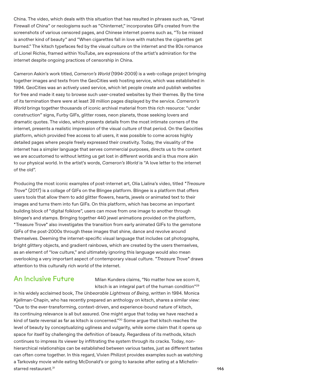China. The video, which deals with this situation that has resulted in phrases such as, "Great Firewall of China" or neologisms such as "Chinternet," incorporates GIFs created from the screenshots of various censored pages, and Chinese internet poems such as, "To be missed is another kind of beauty" and "When cigarettes fall in love with matches the cigarettes get burned." The kitsch typefaces fed by the visual culture on the internet and the 80s romance of Lionel Richie, framed within YouTube, are expressions of the artist's admiration for the internet despite ongoing practices of censorship in China.

Cameron Askin's work titled, *Cameron's World* (1994-2009) is a web-collage project bringing together images and texts from the GeoCities web hosting service, which was established in 1994. GeoCities was an actively used service, which let people create and publish websites for free and made it easy to browse such user-created websites by their themes. By the time of its termination there were at least 38 million pages displayed by the service. *Cameron's World* brings together thousands of iconic archival material from this rich resource: "under construction" signs, Furby GIFs, glitter roses, neon planets, those seeking lovers and dramatic quotes. The video, which presents details from the most intimate corners of the internet, presents a realistic impression of the visual culture of that period. On the Geocities platform, which provided free access to all users, it was possible to come across highly detailed pages where people freely expressed their creativity. Today, the visuality of the internet has a simpler language that serves commercial purposes, directs us to the content we are accustomed to without letting us get lost in different worlds and is thus more akin to our physical world. In the artist's words, *Cameron's World* is "A love letter to the internet of the old".

Producing the most iconic examples of post-internet art, Olia Lialina's video, titled *\*Treasure Trove*\* (2017) is a collage of GIFs on the Blingee platform. Blingee is a platform that offers users tools that allow them to add glitter flowers, hearts, jewels or animated text to their images and turns them into fun GIFs. On this platform, which has become an important building block of "digital folklore", users can move from one image to another through blingee's and stamps. Bringing together 440 jewel animations provided on the platform, \*Treasure Trove\* also investigates the transition from early animated GIFs to the gemstone GIFs of the post-2000s through these images that shine, dance and revolve around themselves. Deeming the internet-specific visual language that includes cat photographs, bright glittery objects, and gradient rainbows, which are created by the users themselves, as an element of "low culture," and ultimately ignoring this language would also mean overlooking a very important aspect of contemporary visual culture. *\*Treasure Trove\** draws attention to this culturally rich world of the internet.

# An Inclusive Future

Milan Kundera claims, "No matter how we scorn it, kitsch is an integral part of the human condition"29

in his widely acclaimed book, *The Unbearable Lightness of Being*, written in 1984. Monica Kjellman-Chapin, who has recently prepared an anthology on kitsch, shares a similar view: "Due to the ever-transforming, context-driven, and experience-bound nature of kitsch, its continuing relevance is all but assured. One might argue that today we have reached a kind of taste reversal as far as kitsch is concerned."30 Some argue that kitsch reaches the level of beauty by conceptualizing ugliness and vulgarity, while some claim that it opens up space for itself by challenging the definition of beauty. Regardless of its methods, kitsch continues to impress its viewer by infiltrating the system through its cracks. Today, nonhierarchical relationships can be established between various tastes, just as different tastes can often come together. In this regard, Vivien Philizot provides examples such as watching a Tarkovsky movie while eating McDonald's or going to karaoke after eating at a Michelinstarred restaurant.<sup>31</sup>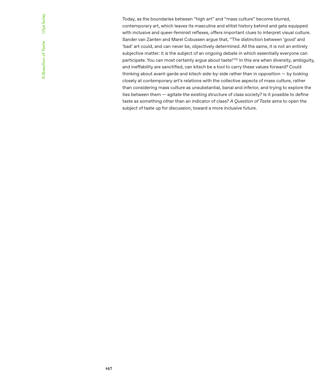Today, as the boundaries between "high art" and "mass culture" become blurred, contemporary art, which leaves its masculine and elitist history behind and gets equipped with inclusive and queer-feminist reflexes, offers important clues to interpret visual culture. Sander van Zanten and Marel Cobussen argue that, "The distinction between 'good' and 'bad' art could, and can never be, objectively determined. All the same, it is not an entirely subjective matter: it is the subject of an ongoing debate in which essentially everyone can participate. You can most certainly argue about taste!"<sup>32</sup> In this era when diversity, ambiguity, and ineffability are sanctified, can kitsch be a tool to carry these values forward? Could thinking about avant-garde and kitsch side-by-side rather than in opposition — by looking closely at contemporary art's relations with the collective aspects of mass culture, rather than considering mass culture as unsubstantial, banal and inferior, and trying to explore the ties between them — agitate the existing structure of class society? Is it possible to define taste as something other than an indicator of class? *A Question of Taste* aims to open the subject of taste up for discussion, toward a more inclusive future.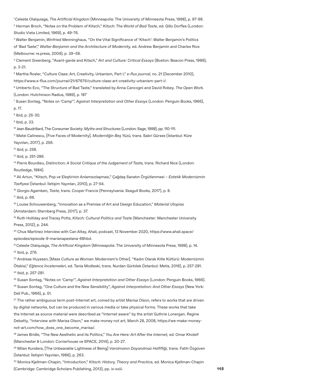1 Celeste Olalquiaga, *The Artificial Kingdom* (Minneapolis: The University of Minnesota Press, 1998), p. 97-98. 2 Herman Broch, "Notes on the Problem of Kitsch," *Kitsch: The World of Bad Taste,* ed. Gillo Dorfles (London: Studio Vista Limited, 1969), p. 49-76.

3 Walter Benjamin, Winfried Menninghaus, "On the Vital Significance of 'Kitsch': Walter Benjamin's Politics of 'Bad Taste'," *Walter Benjamin and the Architecture of Modernity,* ed. Andrew Benjamin and Charles Rice (Melbourne: re.press, 2009), p. 39–58.

4 Clement Greenberg, "Avant-garde and Kitsch," *Art and Culture: Critical Essays* (Boston: Beacon Press, 1989), p. 3-21.

5 Martha Rosler, "Culture Class: Art, Creativity, Urbanism, Part I," *e-flux journal,* no. 21 (December 2010),

https://www.e-flux.com/journal/21/67676/culture-class-art-creativity-urbanism-part-i/.

6 Umberto Eco, "The Structure of Bad Taste," translated by Anna Cancogni and David Robey. *The Open Work.* (London: Hutchinson Radius, 1989), p. 187

7 Susan Sontag, "Notes on 'Camp'", *Against Interpretation and Other Essays* (London: Penguin Books, 1966), p. 17.

8 Ibid, p. 25-30.

9 Ibid, p. 33.

10 Jean Baudrillard, The Consumer Society: *Myths and Structures* (London: Sage, 1998), pp. 110-111.

11 Matei Calinescu, [Five Faces of Modernity]. *Modernliğin Beş Yüzü,* trans. Sabri Gürses (İstanbul: Küre Yayınları, 2017), p. 256.

12 Ibid, p. 258.

13 Ibid, p. 251-286.

14 Pierre Bourdieu, Distinction: *A Social Critique of the Judgement of Taste,* trans. Richard Nice (London: Routledge, 1984).

15 Ali Artun, "Kitsch, Pop ve Eleştirinin Anlamsızlaşması," Çağdaş Sanatın Örgütlenmesi – *Estetik Modernizmin Tasfiyesi* (İstanbul: İletişim Yayınları, 2010), p. 27-54.

16 Giorgio Agamben, *Taste,* trans. Cooper Francis (Pennsylvania: Seagull Books, 2017), p. 8. 17 Ibid, p. 66.

18 Louise Schouwenberg, "Innovation as a Premise of Art and Design Education," *Material Utopias* (Amsterdam: Sternberg Press, 2017), p. 37.

19 Ruth Holliday and Tracey Potts, *Kitsch: Cultural Politics and Taste* (Manchester: Manchester University Press, 2012), p. 244.

<sup>20</sup> Chus Martinez interview with Can Altay, Ahali, podcast, 13 November 2020, https://www.ahali.space/ episodes/episode-9-marianapestana-68hbd.

21 Celeste Olalquiaga, *The Artificial Kingdom* (Minneapolis: The University of Minnesota Press, 1998), p. 14. 22 Ibid, p. 276.

<sup>23</sup> Andreas Huyssen, [Mass Culture as Woman: Modernism's Other]. "Kadın Olarak Kitle Kültürü: Modernizmin Ötekisi," *Eğlence İncelemeleri,* ed. Tania Modleski, trans. Nurdan Gürbilek (İstanbul: Metis, 2016), p. 257-281. 24 Ibid, p. 257-281.

25 Susan Sontag, "Notes on 'Camp'", *Against Interpretation and Other Essays* (London: Penguin Books, 1966). 26 Susan Sontag, "One Culture and the New Sensibility", *Against Interpretation: And Other Essays* (New York: Dell Pub., 1966), p. 51.

<sup>27</sup> The rather ambiguous term post-Internet art, coined by artist Marisa Olson, refers to works that are driven by digital networks, but can be produced in various media or take physical forms. These works that take the Internet as source material were described as "Internet aware" by the artist Guthrie Lonergan. Regine Debatty, "Interview with Marisa Olson," we make money not art, March 28, 2008, https://we-make-moneynot-art.com/how\_does\_one\_become\_marisa/.

28 James Bridle, "The New Aesthetic and its Politics," *You Are Here: Art After the Internet,* ed. Omar Kholeif (Manchester & London: Cornerhouse ve SPACE, 2014), p. 20-27.

29 Milan Kundera, [The Unbearable Lightness of Being] *Varolmanın Dayanılmaz Hafifliği,* trans. Fatih Özgüven (İstanbul: İletişim Yayınları, 1986), p. 263.

30 Monica Kjellman-Chapin, "Introduction," *Kitsch: History, Theory and Practice,* ed. Monica Kjellman-Chapin (Cambridge: Cambridge Scholars Publishing, 2013), pp. ix-xxiii.